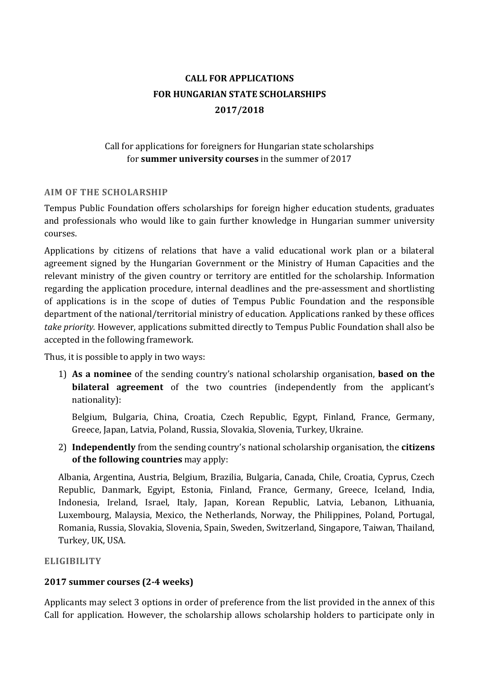# **CALL FOR APPLICATIONS FOR HUNGARIAN STATE SCHOLARSHIPS 2017/2018**

# Call for applications for foreigners for Hungarian state scholarships for **summer university courses** in the summer of 2017

## **AIM OF THE SCHOLARSHIP**

Tempus Public Foundation offers scholarships for foreign higher education students, graduates and professionals who would like to gain further knowledge in Hungarian summer university courses.

Applications by citizens of relations that have a valid educational work plan or a bilateral agreement signed by the Hungarian Government or the Ministry of Human Capacities and the relevant ministry of the given country or territory are entitled for the scholarship. Information regarding the application procedure, internal deadlines and the pre-assessment and shortlisting of applications is in the scope of duties of Tempus Public Foundation and the responsible department of the national/territorial ministry of education. Applications ranked by these offices *take priority.* However, applications submitted directly to Tempus Public Foundation shall also be accepted in the following framework.

Thus, it is possible to apply in two ways:

1) **As a nominee** of the sending country's national scholarship organisation, **based on the bilateral agreement** of the two countries (independently from the applicant's nationality):

Belgium, Bulgaria, China, Croatia, Czech Republic, Egypt, Finland, France, Germany, Greece, Japan, Latvia, Poland, Russia, Slovakia, Slovenia, Turkey, Ukraine.

2) **Independently** from the sending country's national scholarship organisation, the **citizens of the following countries** may apply:

Albania, Argentina, Austria, Belgium, Brazilia, Bulgaria, Canada, Chile, Croatia, Cyprus, Czech Republic, Danmark, Egyipt, Estonia, Finland, France, Germany, Greece, Iceland, India, Indonesia, Ireland, Israel, Italy, Japan, Korean Republic, Latvia, Lebanon, Lithuania, Luxembourg, Malaysia, Mexico, the Netherlands, Norway, the Philippines, Poland, Portugal, Romania, Russia, Slovakia, Slovenia, Spain, Sweden, Switzerland, Singapore, Taiwan, Thailand, Turkey, UK, USA.

## **ELIGIBILITY**

# **2017 summer courses (2-4 weeks)**

Applicants may select 3 options in order of preference from the list provided in the annex of this Call for application. However, the scholarship allows scholarship holders to participate only in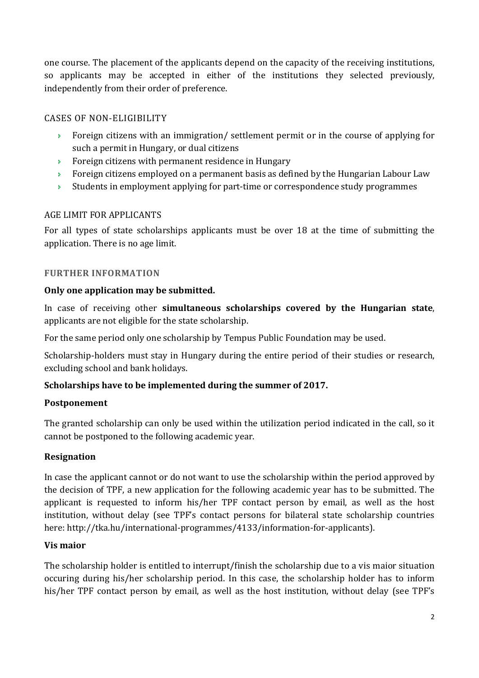one course. The placement of the applicants depend on the capacity of the receiving institutions, so applicants may be accepted in either of the institutions they selected previously, independently from their order of preference.

## CASES OF NON-ELIGIBILITY

- Foreign citizens with an immigration/ settlement permit or in the course of applying for such a permit in Hungary, or dual citizens
- **Foreign citizens with permanent residence in Hungary**
- $\rightarrow$  Foreign citizens employed on a permanent basis as defined by the Hungarian Labour Law
- $\rightarrow$  Students in employment applying for part-time or correspondence study programmes

## AGE LIMIT FOR APPLICANTS

For all types of state scholarships applicants must be over 18 at the time of submitting the application. There is no age limit.

## **FURTHER INFORMATION**

## **Only one application may be submitted.**

In case of receiving other **simultaneous scholarships covered by the Hungarian state**, applicants are not eligible for the state scholarship.

For the same period only one scholarship by Tempus Public Foundation may be used.

Scholarship-holders must stay in Hungary during the entire period of their studies or research, excluding school and bank holidays.

# **Scholarships have to be implemented during the summer of 2017.**

## **Postponement**

The granted scholarship can only be used within the utilization period indicated in the call, so it cannot be postponed to the following academic year.

# **Resignation**

In case the applicant cannot or do not want to use the scholarship within the period approved by the decision of TPF, a new application for the following academic year has to be submitted. The applicant is requested to inform his/her TPF contact person by email, as well as the host institution, without delay (see TPF's contact persons for bilateral state scholarship countries here: http://tka.hu/international-programmes/4133/information-for-applicants).

## **Vis maior**

The scholarship holder is entitled to interrupt/finish the scholarship due to a vis maior situation occuring during his/her scholarship period. In this case, the scholarship holder has to inform his/her TPF contact person by email, as well as the host institution, without delay (see TPF's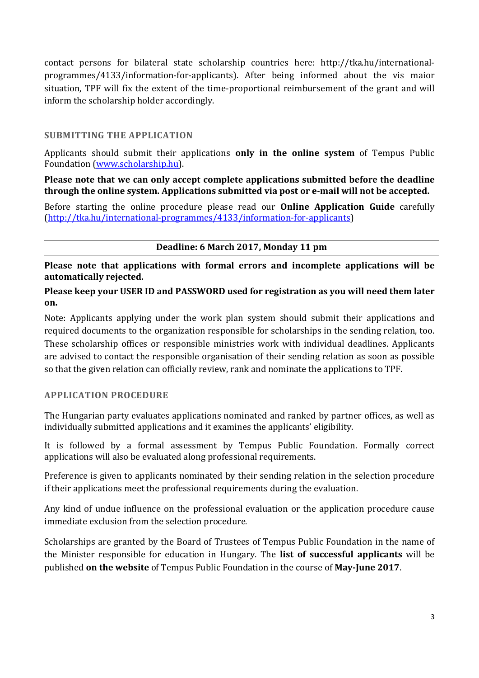contact persons for bilateral state scholarship countries here: http://tka.hu/internationalprogrammes/4133/information-for-applicants). After being informed about the vis maior situation, TPF will fix the extent of the time-proportional reimbursement of the grant and will inform the scholarship holder accordingly.

## **SUBMITTING THE APPLICATION**

Applicants should submit their applications **only in the online system** of Tempus Public Foundation (www.scholarship.hu).

**Please note that we can only accept complete applications submitted before the deadline through the online system. Applications submitted via post or e-mail will not be accepted.** 

Before starting the online procedure please read our **Online Application Guide** carefully (http://tka.hu/international-programmes/4133/information-for-applicants)

## **Deadline: 6 March 2017, Monday 11 pm**

**Please note that applications with formal errors and incomplete applications will be automatically rejected.** 

**Please keep your USER ID and PASSWORD used for registration as you will need them later on.** 

Note: Applicants applying under the work plan system should submit their applications and required documents to the organization responsible for scholarships in the sending relation, too. These scholarship offices or responsible ministries work with individual deadlines. Applicants are advised to contact the responsible organisation of their sending relation as soon as possible so that the given relation can officially review, rank and nominate the applications to TPF.

## **APPLICATION PROCEDURE**

The Hungarian party evaluates applications nominated and ranked by partner offices, as well as individually submitted applications and it examines the applicants' eligibility.

It is followed by a formal assessment by Tempus Public Foundation. Formally correct applications will also be evaluated along professional requirements.

Preference is given to applicants nominated by their sending relation in the selection procedure if their applications meet the professional requirements during the evaluation.

Any kind of undue influence on the professional evaluation or the application procedure cause immediate exclusion from the selection procedure.

Scholarships are granted by the Board of Trustees of Tempus Public Foundation in the name of the Minister responsible for education in Hungary. The **list of successful applicants** will be published **on the website** of Tempus Public Foundation in the course of **May-June 2017**.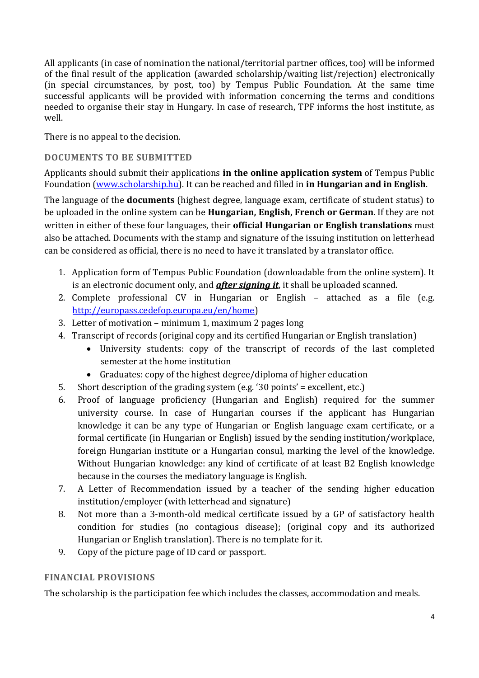All applicants (in case of nomination the national/territorial partner offices, too) will be informed of the final result of the application (awarded scholarship/waiting list/rejection) electronically (in special circumstances, by post, too) by Tempus Public Foundation. At the same time successful applicants will be provided with information concerning the terms and conditions needed to organise their stay in Hungary. In case of research, TPF informs the host institute, as well.

There is no appeal to the decision.

## **DOCUMENTS TO BE SUBMITTED**

Applicants should submit their applications **in the online application system** of Tempus Public Foundation (www.scholarship.hu). It can be reached and filled in **in Hungarian and in English**.

The language of the **documents** (highest degree, language exam, certificate of student status) to be uploaded in the online system can be **Hungarian, English, French or German**. If they are not written in either of these four languages, their **official Hungarian or English translations** must also be attached. Documents with the stamp and signature of the issuing institution on letterhead can be considered as official, there is no need to have it translated by a translator office.

- 1. Application form of Tempus Public Foundation (downloadable from the online system). It is an electronic document only, and *after signing it*, it shall be uploaded scanned.
- 2. Complete professional CV in Hungarian or English attached as a file (e.g. http://europass.cedefop.europa.eu/en/home)
- 3. Letter of motivation minimum 1, maximum 2 pages long
- 4. Transcript of records (original copy and its certified Hungarian or English translation)
	- University students: copy of the transcript of records of the last completed semester at the home institution
	- Graduates: copy of the highest degree/diploma of higher education
- 5. Short description of the grading system (e.g. '30 points' = excellent, etc.)
- 6. Proof of language proficiency (Hungarian and English) required for the summer university course. In case of Hungarian courses if the applicant has Hungarian knowledge it can be any type of Hungarian or English language exam certificate, or a formal certificate (in Hungarian or English) issued by the sending institution/workplace, foreign Hungarian institute or a Hungarian consul, marking the level of the knowledge. Without Hungarian knowledge: any kind of certificate of at least B2 English knowledge because in the courses the mediatory language is English.
- 7. A Letter of Recommendation issued by a teacher of the sending higher education institution/employer (with letterhead and signature)
- 8. Not more than a 3-month-old medical certificate issued by a GP of satisfactory health condition for studies (no contagious disease); (original copy and its authorized Hungarian or English translation). There is no template for it.
- 9. Copy of the picture page of ID card or passport.

# **FINANCIAL PROVISIONS**

The scholarship is the participation fee which includes the classes, accommodation and meals.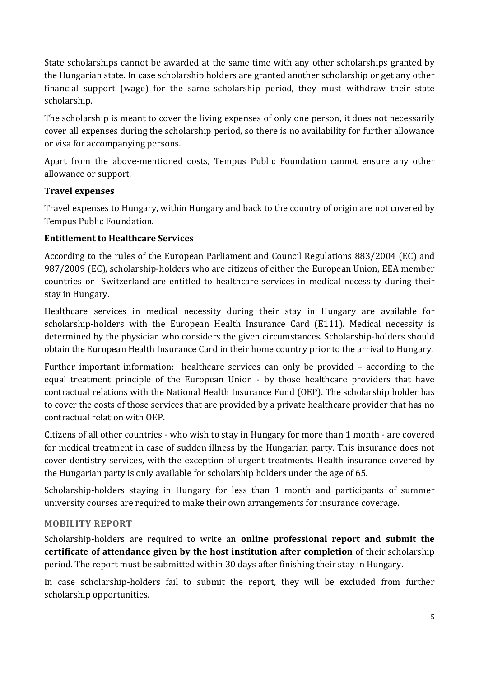State scholarships cannot be awarded at the same time with any other scholarships granted by the Hungarian state. In case scholarship holders are granted another scholarship or get any other financial support (wage) for the same scholarship period, they must withdraw their state scholarship.

The scholarship is meant to cover the living expenses of only one person, it does not necessarily cover all expenses during the scholarship period, so there is no availability for further allowance or visa for accompanying persons.

Apart from the above-mentioned costs, Tempus Public Foundation cannot ensure any other allowance or support.

## **Travel expenses**

Travel expenses to Hungary, within Hungary and back to the country of origin are not covered by Tempus Public Foundation.

## **Entitlement to Healthcare Services**

According to the rules of the European Parliament and Council Regulations 883/2004 (EC) and 987/2009 (EC), scholarship-holders who are citizens of either the European Union, EEA member countries or Switzerland are entitled to healthcare services in medical necessity during their stay in Hungary.

Healthcare services in medical necessity during their stay in Hungary are available for scholarship-holders with the European Health Insurance Card (E111). Medical necessity is determined by the physician who considers the given circumstances. Scholarship-holders should obtain the European Health Insurance Card in their home country prior to the arrival to Hungary.

Further important information: healthcare services can only be provided – according to the equal treatment principle of the European Union - by those healthcare providers that have contractual relations with the National Health Insurance Fund (OEP). The scholarship holder has to cover the costs of those services that are provided by a private healthcare provider that has no contractual relation with OEP.

Citizens of all other countries - who wish to stay in Hungary for more than 1 month - are covered for medical treatment in case of sudden illness by the Hungarian party. This insurance does not cover dentistry services, with the exception of urgent treatments. Health insurance covered by the Hungarian party is only available for scholarship holders under the age of 65.

Scholarship-holders staying in Hungary for less than 1 month and participants of summer university courses are required to make their own arrangements for insurance coverage.

## **MOBILITY REPORT**

Scholarship-holders are required to write an **online professional report and submit the certificate of attendance given by the host institution after completion** of their scholarship period. The report must be submitted within 30 days after finishing their stay in Hungary.

In case scholarship-holders fail to submit the report, they will be excluded from further scholarship opportunities.